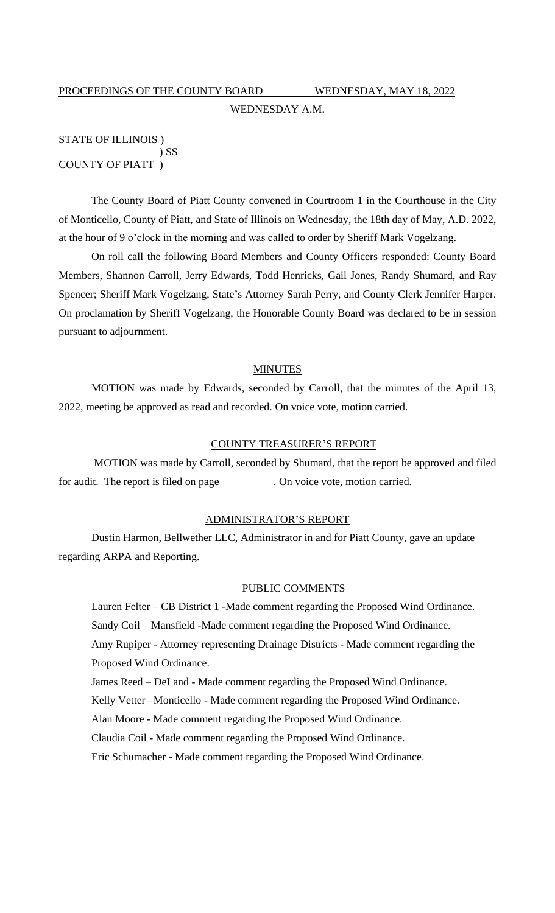# PROCEEDINGS OF THE COUNTY BOARD WEDNESDAY, MAY 18, 2022 WEDNESDAY A.M.

# STATE OF ILLINOIS ) ) SS COUNTY OF PIATT )

The County Board of Piatt County convened in Courtroom 1 in the Courthouse in the City of Monticello, County of Piatt, and State of Illinois on Wednesday, the 18th day of May, A.D. 2022, at the hour of 9 o'clock in the morning and was called to order by Sheriff Mark Vogelzang.

On roll call the following Board Members and County Officers responded: County Board Members, Shannon Carroll, Jerry Edwards, Todd Henricks, Gail Jones, Randy Shumard, and Ray Spencer; Sheriff Mark Vogelzang, State's Attorney Sarah Perry, and County Clerk Jennifer Harper. On proclamation by Sheriff Vogelzang, the Honorable County Board was declared to be in session pursuant to adjournment.

# **MINUTES**

MOTION was made by Edwards, seconded by Carroll, that the minutes of the April 13, 2022, meeting be approved as read and recorded. On voice vote, motion carried.

#### COUNTY TREASURER'S REPORT

MOTION was made by Carroll, seconded by Shumard, that the report be approved and filed for audit. The report is filed on page . On voice vote, motion carried.

#### ADMINISTRATOR'S REPORT

Dustin Harmon, Bellwether LLC, Administrator in and for Piatt County, gave an update regarding ARPA and Reporting.

#### PUBLIC COMMENTS

Lauren Felter – CB District 1 -Made comment regarding the Proposed Wind Ordinance. Sandy Coil – Mansfield -Made comment regarding the Proposed Wind Ordinance. Amy Rupiper - Attorney representing Drainage Districts - Made comment regarding the Proposed Wind Ordinance.

James Reed – DeLand - Made comment regarding the Proposed Wind Ordinance.

Kelly Vetter –Monticello - Made comment regarding the Proposed Wind Ordinance.

Alan Moore - Made comment regarding the Proposed Wind Ordinance.

Claudia Coil - Made comment regarding the Proposed Wind Ordinance.

Eric Schumacher - Made comment regarding the Proposed Wind Ordinance.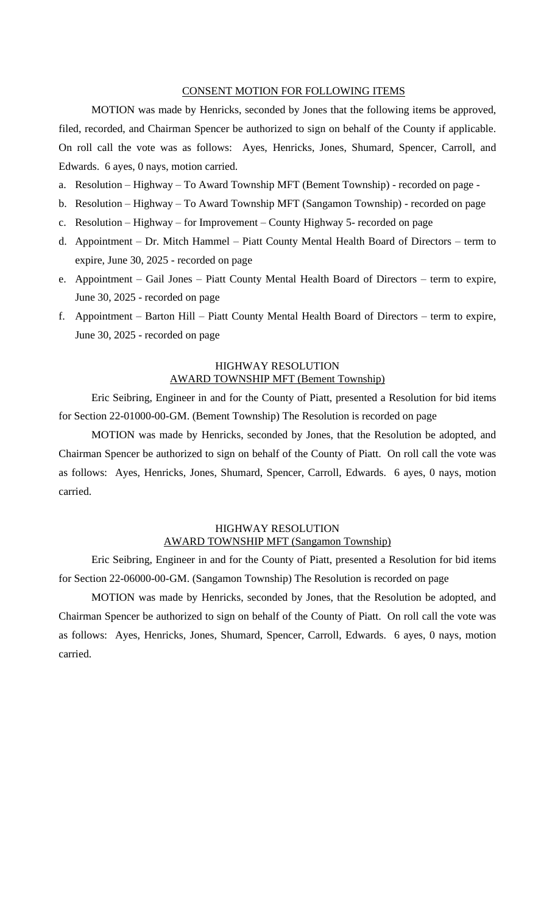# CONSENT MOTION FOR FOLLOWING ITEMS

MOTION was made by Henricks, seconded by Jones that the following items be approved, filed, recorded, and Chairman Spencer be authorized to sign on behalf of the County if applicable. On roll call the vote was as follows: Ayes, Henricks, Jones, Shumard, Spencer, Carroll, and Edwards. 6 ayes, 0 nays, motion carried.

- a. Resolution Highway To Award Township MFT (Bement Township) recorded on page -
- b. Resolution Highway To Award Township MFT (Sangamon Township) recorded on page
- c. Resolution Highway for Improvement County Highway 5- recorded on page
- d. Appointment Dr. Mitch Hammel Piatt County Mental Health Board of Directors term to expire, June 30, 2025 - recorded on page
- e. Appointment Gail Jones Piatt County Mental Health Board of Directors term to expire, June 30, 2025 - recorded on page
- f. Appointment Barton Hill Piatt County Mental Health Board of Directors term to expire, June 30, 2025 - recorded on page

# HIGHWAY RESOLUTION AWARD TOWNSHIP MFT (Bement Township)

Eric Seibring, Engineer in and for the County of Piatt, presented a Resolution for bid items for Section 22-01000-00-GM. (Bement Township) The Resolution is recorded on page

MOTION was made by Henricks, seconded by Jones, that the Resolution be adopted, and Chairman Spencer be authorized to sign on behalf of the County of Piatt. On roll call the vote was as follows: Ayes, Henricks, Jones, Shumard, Spencer, Carroll, Edwards. 6 ayes, 0 nays, motion carried.

# HIGHWAY RESOLUTION AWARD TOWNSHIP MFT (Sangamon Township)

Eric Seibring, Engineer in and for the County of Piatt, presented a Resolution for bid items for Section 22-06000-00-GM. (Sangamon Township) The Resolution is recorded on page

MOTION was made by Henricks, seconded by Jones, that the Resolution be adopted, and Chairman Spencer be authorized to sign on behalf of the County of Piatt. On roll call the vote was as follows: Ayes, Henricks, Jones, Shumard, Spencer, Carroll, Edwards. 6 ayes, 0 nays, motion carried.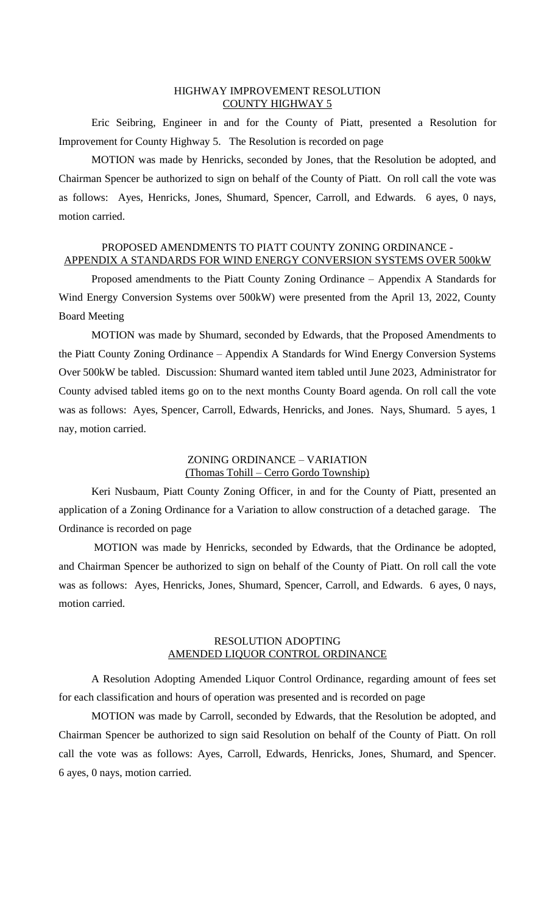#### HIGHWAY IMPROVEMENT RESOLUTION COUNTY HIGHWAY 5

Eric Seibring, Engineer in and for the County of Piatt, presented a Resolution for Improvement for County Highway 5. The Resolution is recorded on page

MOTION was made by Henricks, seconded by Jones, that the Resolution be adopted, and Chairman Spencer be authorized to sign on behalf of the County of Piatt. On roll call the vote was as follows: Ayes, Henricks, Jones, Shumard, Spencer, Carroll, and Edwards. 6 ayes, 0 nays, motion carried.

# PROPOSED AMENDMENTS TO PIATT COUNTY ZONING ORDINANCE - APPENDIX A STANDARDS FOR WIND ENERGY CONVERSION SYSTEMS OVER 500kW

Proposed amendments to the Piatt County Zoning Ordinance – Appendix A Standards for Wind Energy Conversion Systems over 500kW) were presented from the April 13, 2022, County Board Meeting

MOTION was made by Shumard, seconded by Edwards, that the Proposed Amendments to the Piatt County Zoning Ordinance – Appendix A Standards for Wind Energy Conversion Systems Over 500kW be tabled. Discussion: Shumard wanted item tabled until June 2023, Administrator for County advised tabled items go on to the next months County Board agenda. On roll call the vote was as follows: Ayes, Spencer, Carroll, Edwards, Henricks, and Jones. Nays, Shumard. 5 ayes, 1 nay, motion carried.

# ZONING ORDINANCE – VARIATION (Thomas Tohill – Cerro Gordo Township)

Keri Nusbaum, Piatt County Zoning Officer, in and for the County of Piatt, presented an application of a Zoning Ordinance for a Variation to allow construction of a detached garage. The Ordinance is recorded on page

MOTION was made by Henricks, seconded by Edwards, that the Ordinance be adopted, and Chairman Spencer be authorized to sign on behalf of the County of Piatt. On roll call the vote was as follows: Ayes, Henricks, Jones, Shumard, Spencer, Carroll, and Edwards. 6 ayes, 0 nays, motion carried.

#### RESOLUTION ADOPTING AMENDED LIQUOR CONTROL ORDINANCE

A Resolution Adopting Amended Liquor Control Ordinance, regarding amount of fees set for each classification and hours of operation was presented and is recorded on page

MOTION was made by Carroll, seconded by Edwards, that the Resolution be adopted, and Chairman Spencer be authorized to sign said Resolution on behalf of the County of Piatt. On roll call the vote was as follows: Ayes, Carroll, Edwards, Henricks, Jones, Shumard, and Spencer. 6 ayes, 0 nays, motion carried.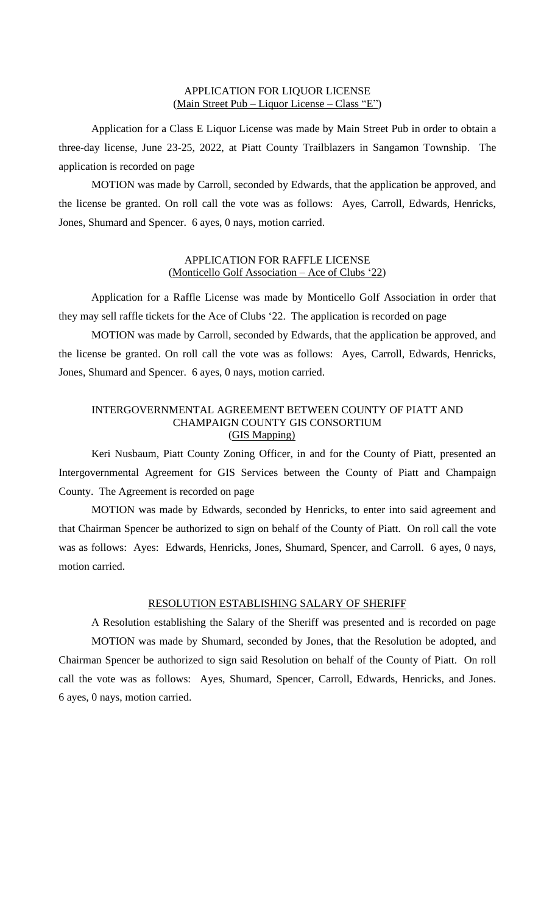#### APPLICATION FOR LIQUOR LICENSE (Main Street Pub – Liquor License – Class "E")

Application for a Class E Liquor License was made by Main Street Pub in order to obtain a three-day license, June 23-25, 2022, at Piatt County Trailblazers in Sangamon Township. The application is recorded on page

MOTION was made by Carroll, seconded by Edwards, that the application be approved, and the license be granted. On roll call the vote was as follows: Ayes, Carroll, Edwards, Henricks, Jones, Shumard and Spencer. 6 ayes, 0 nays, motion carried.

#### APPLICATION FOR RAFFLE LICENSE (Monticello Golf Association – Ace of Clubs '22)

Application for a Raffle License was made by Monticello Golf Association in order that they may sell raffle tickets for the Ace of Clubs '22. The application is recorded on page

MOTION was made by Carroll, seconded by Edwards, that the application be approved, and the license be granted. On roll call the vote was as follows: Ayes, Carroll, Edwards, Henricks, Jones, Shumard and Spencer. 6 ayes, 0 nays, motion carried.

#### INTERGOVERNMENTAL AGREEMENT BETWEEN COUNTY OF PIATT AND CHAMPAIGN COUNTY GIS CONSORTIUM (GIS Mapping)

Keri Nusbaum, Piatt County Zoning Officer, in and for the County of Piatt, presented an Intergovernmental Agreement for GIS Services between the County of Piatt and Champaign County. The Agreement is recorded on page

MOTION was made by Edwards, seconded by Henricks, to enter into said agreement and that Chairman Spencer be authorized to sign on behalf of the County of Piatt. On roll call the vote was as follows: Ayes: Edwards, Henricks, Jones, Shumard, Spencer, and Carroll. 6 ayes, 0 nays, motion carried.

# RESOLUTION ESTABLISHING SALARY OF SHERIFF

A Resolution establishing the Salary of the Sheriff was presented and is recorded on page MOTION was made by Shumard, seconded by Jones, that the Resolution be adopted, and Chairman Spencer be authorized to sign said Resolution on behalf of the County of Piatt. On roll call the vote was as follows: Ayes, Shumard, Spencer, Carroll, Edwards, Henricks, and Jones. 6 ayes, 0 nays, motion carried.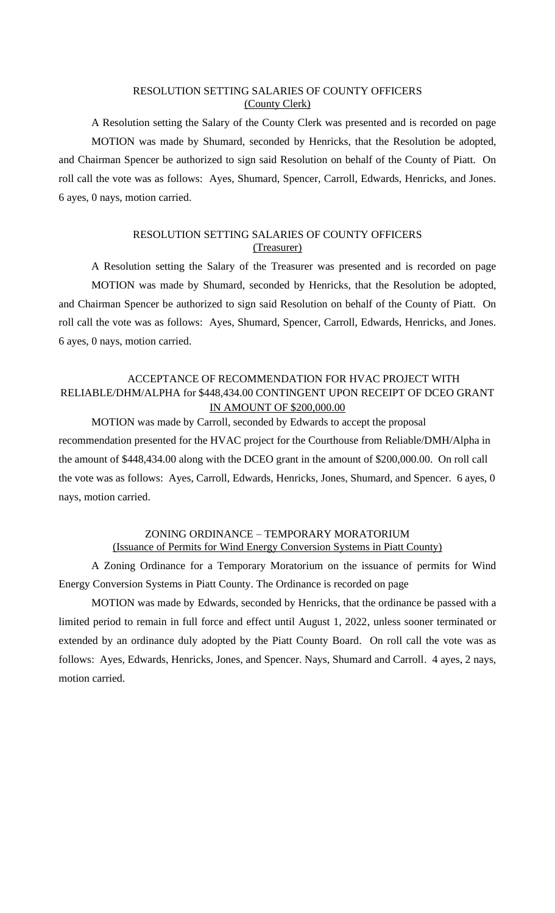# RESOLUTION SETTING SALARIES OF COUNTY OFFICERS (County Clerk)

A Resolution setting the Salary of the County Clerk was presented and is recorded on page MOTION was made by Shumard, seconded by Henricks, that the Resolution be adopted, and Chairman Spencer be authorized to sign said Resolution on behalf of the County of Piatt. On roll call the vote was as follows: Ayes, Shumard, Spencer, Carroll, Edwards, Henricks, and Jones. 6 ayes, 0 nays, motion carried.

# RESOLUTION SETTING SALARIES OF COUNTY OFFICERS (Treasurer)

A Resolution setting the Salary of the Treasurer was presented and is recorded on page MOTION was made by Shumard, seconded by Henricks, that the Resolution be adopted, and Chairman Spencer be authorized to sign said Resolution on behalf of the County of Piatt. On roll call the vote was as follows: Ayes, Shumard, Spencer, Carroll, Edwards, Henricks, and Jones. 6 ayes, 0 nays, motion carried.

# ACCEPTANCE OF RECOMMENDATION FOR HVAC PROJECT WITH RELIABLE/DHM/ALPHA for \$448,434.00 CONTINGENT UPON RECEIPT OF DCEO GRANT IN AMOUNT OF \$200,000.00

MOTION was made by Carroll, seconded by Edwards to accept the proposal recommendation presented for the HVAC project for the Courthouse from Reliable/DMH/Alpha in the amount of \$448,434.00 along with the DCEO grant in the amount of \$200,000.00. On roll call the vote was as follows: Ayes, Carroll, Edwards, Henricks, Jones, Shumard, and Spencer. 6 ayes, 0 nays, motion carried.

# ZONING ORDINANCE – TEMPORARY MORATORIUM (Issuance of Permits for Wind Energy Conversion Systems in Piatt County)

A Zoning Ordinance for a Temporary Moratorium on the issuance of permits for Wind Energy Conversion Systems in Piatt County. The Ordinance is recorded on page

MOTION was made by Edwards, seconded by Henricks, that the ordinance be passed with a limited period to remain in full force and effect until August 1, 2022, unless sooner terminated or extended by an ordinance duly adopted by the Piatt County Board. On roll call the vote was as follows: Ayes, Edwards, Henricks, Jones, and Spencer. Nays, Shumard and Carroll. 4 ayes, 2 nays, motion carried.